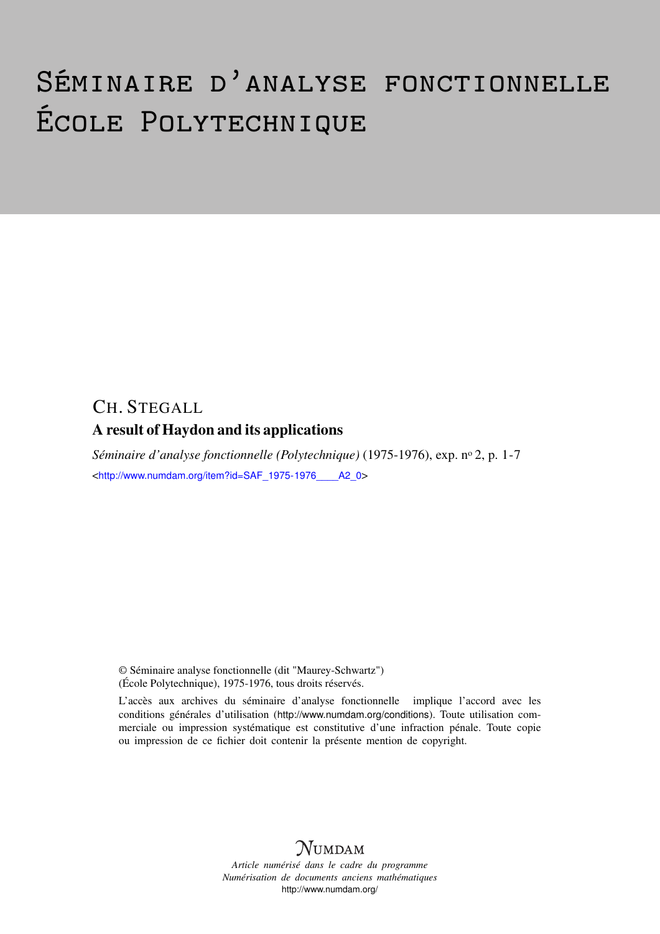# Séminaire d'analyse fonctionnelle École Polytechnique

## CH. STEGALL A result of Haydon and its applications

*Séminaire d'analyse fonctionnelle (Polytechnique)* (1975-1976), exp. nº 2, p. 1-7 <[http://www.numdam.org/item?id=SAF\\_1975-1976\\_\\_\\_\\_A2\\_0](http://www.numdam.org/item?id=SAF_1975-1976____A2_0)>

© Séminaire analyse fonctionnelle (dit "Maurey-Schwartz") (École Polytechnique), 1975-1976, tous droits réservés.

L'accès aux archives du séminaire d'analyse fonctionnelle implique l'accord avec les conditions générales d'utilisation (<http://www.numdam.org/conditions>). Toute utilisation commerciale ou impression systématique est constitutive d'une infraction pénale. Toute copie ou impression de ce fichier doit contenir la présente mention de copyright.



*Article numérisé dans le cadre du programme Numérisation de documents anciens mathématiques* <http://www.numdam.org/>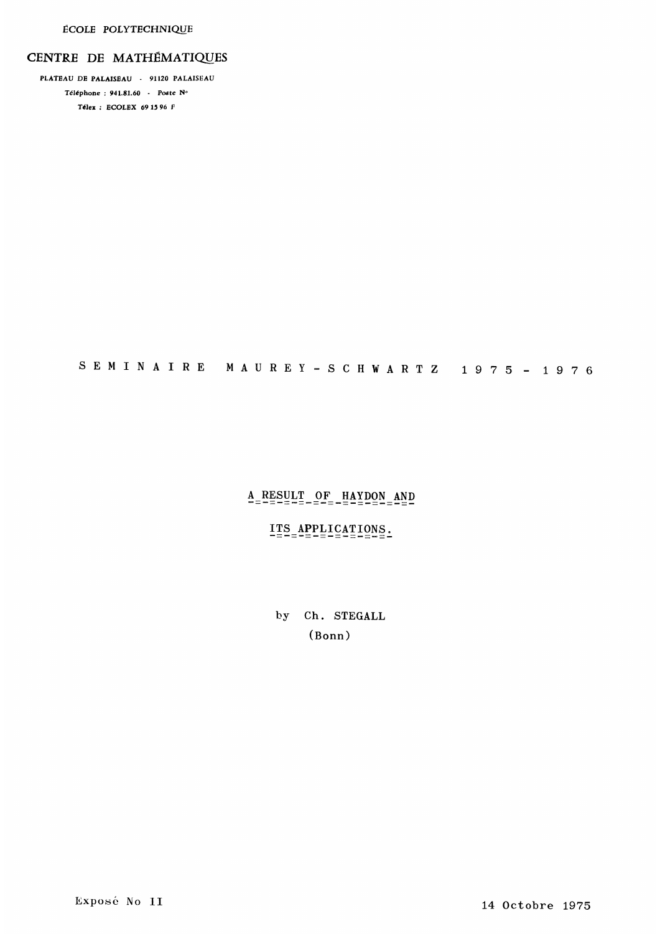#### CENTRE DE MATHEMATIQUES

PLATEAU DE PALAISEAU - 91124 PALAISEAU T616phone : 941.81.60 - Poste N° Télex : ECOLEX 69 15 96  $F$ 

# S E M I N A I R E M A U R E Y - S C H W A R T Z 1 9 ? 5 - 1 9 ? fi

## $A$ <sub>=</sub> $RESULT$ <sub>================== $AP$ </sub>

#### ITS APPLICATIONS.

by Ch. STEGALL (Bonn)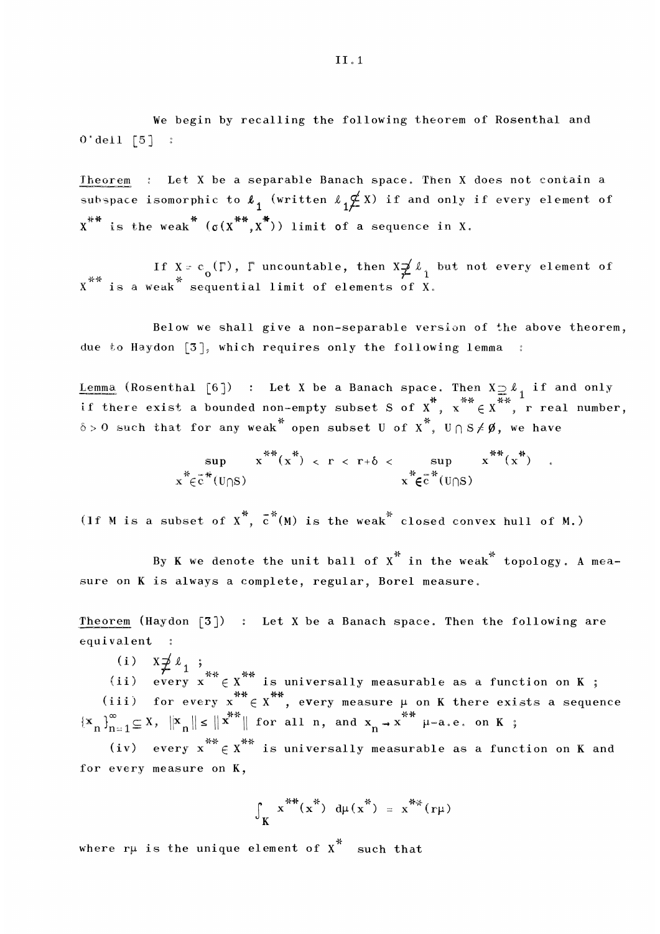We begin by recalling the following theorem of Rosenthal and  $0'$  dell  $\lceil 5 \rceil$  :

Theorem : Let X be a separable Banach space. Then X does not contain a subspace isomorphic to  $\ell_1$  (written  $\ell_1 \not\leq X$ ) if and only if every element of  $X^{***}$  is the weak  $(0(X^{**}, X^{**}))$  limit of a sequence in X.

If  $X = c_o(\Gamma)$ ,  $\Gamma$  uncountable, then  $X \neq \ell_1$  but not every element of  $x^{***}$  is a weak  $x^*$  sequential limit of elements of X.

Below we shall give a non-separable version of the above theorem, due to Haydon  $[3]$ , which requires only the following lemma :

<u>Lemma</u> (Rosenthal [6]) : Let X be a Banach space. Then  $X \supseteq \ell_1$  if and only if there exist a bounded non-empty subset S of  $X^*$ ,  $x^{**} \in X^{**}$ , r real number  $\mathbb{R}^n \in X^{n}$ , r real number,  $\delta > 0$  such that for any weak open subset U of X<sup>\*</sup>,  $\mathbb{U} \cap S \neq \emptyset$ , we have

$$
\sup_{x^* \in \widetilde{c}} \frac{x^{**}(x^*)}{(U \cap S)} < r < r + \delta < \sup_{x^* \in \widetilde{c}} \frac{x^{**}(x^*)}{(U \cap S)}.
$$

(If M is a subset of  $\chi^*$ ,  $\bar{c}^*(M)$  is the weak closed convex hull of M.)

By K we denote the unit ball of  $\chi^*$  in the weak $^*$  topology. A measure on K is always a complete, regular, Borel measure.

Theorem (Haydon  $\lceil 3 \rceil$ ) : Let X be a Banach space. Then the following are equivalent em (Haydon [3]) : Let<br>alent :<br>(i)  $X \neq \ell_1$  ;<br>ii) every  $x^{**} \in X^{**}$  is

(i)

(ii) unit ball of  $x^*$  in the weak<sup>\*</sup> topending the set of  $x^*$  in the weak<sup>\*</sup> topending the set of  $x^*$  is a Banach space. Then the fology is a functionally measurable as a functional set of  $x^*$  is  $x^*$ measurable as a function on **K** ; (iii) for every  $x^{***} \in x^{***}$ , every measure  $\mu$  on K there exists a sequence for all n, and  $x_n \rightarrow x^{\cdots}$   $\mu$ -a.e. on K;

I1 71 v o (iv) every  $x^{**} \in x^{**}$  is universally measurable as a function on K and for every measure on K,

$$
\int_{K} x^{**}(x^{**}) d\mu(x^{**}) = x^{**}(r\mu)
$$

where rµ is the unique element of  $\chi^*$  -such that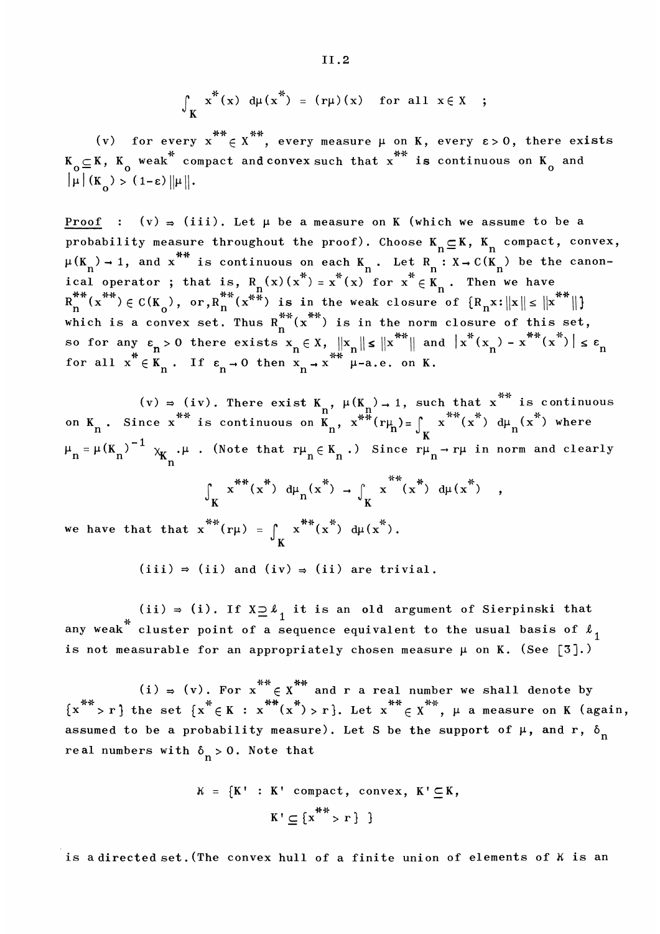$$
\int_{K} x^{*}(x) d\mu(x^{*}) = (r\mu)(x) \text{ for all } x \in X ;
$$

(v) for every  $x^{**} \in X^{**}$ , every measure  $\mu$  on K, every  $\varepsilon > 0$ , there exists  $K_{\overline{O}}\subseteq K$ ,  $K_{\overline{O}}$  weak  $\hat{C}$  compact and convex such that  $x$   $\hat{C}$  is continuous on  $K_{\overline{O}}$  and

Proof :  $(v) = (iii)$ . Let  $\mu$  be a measure on K (which we assume to be a probability measure throughout the proof). Choose  $K_n \subseteq K$ ,  $K_n$  compact, convex,  $_1$ , and  $x^{**}$  is continuous on each  $K_n$ . Let  $R_n : X \to C(K_n)$  be the canonical operator ; that is,  $R_n(x)(x^*) = x^*(x)$  for  $x^* \in K_n$ . Then we have<br> $R_n^{***}(x^{**}) \in C(K_0^-, or, R_n^{***}(x^{**})$  is in the weak closure of  $\{R_n x : ||x|| \le ||x^{**} \}$ cal operato<br>  $\stackrel{\ast}{\mathfrak{m}}^* (\stackrel{\ast}{\mathfrak{x}}^*) \in \mathbb{C} (1)$ <br>
hich is a c  $(x^{**}) \in C(K_0),$  or,  $R_n^{**}(x^{**})$  is in the weak closure of  $\{R_n x : ||x|| \le ||x^{**}||\}$ <br>ch is a convex set. Thus  $R^{**}(x^{**})$  is in the norm closure of this set which is a convex set. Thus  $R_n^{**}(x^{**})$  is in the norm closure of this set,  $n$ .  $f^*(-x^{**})$ so for any  $\varepsilon_n > 0$  there exists  $x_n \in X$ ,  $||x_n|| \le ||x^{**}||$  and  $||x^*(x_n) - x^{**}(x^*)|| \le \varepsilon_n$ <br>for all  $x^* \in K_n$ . If  $\varepsilon_n \to 0$  then  $x_n \to x^{**}$   $\mu$ -a.e. on K.

(v)  $\Rightarrow$  (iv). There exist K<sub>n</sub>,  $\mu$ (K<sub>n</sub>)  $\rightarrow$  1, such that  $x^{**}$  is continuous<br>on K<sub>n</sub>. Since  $x^{**}$  is continuous on K<sub>n</sub>,  $x^{**}(r_{H_n}) = \int_K x^{**}(x^*) d\mu_n(x^*)$  where  $\mu_n = \mu(K_n)^{-1} \chi_{K_n}$ . (Note that  $r\mu_n \in K_n$ .) Since  $r\mu_n \to r\mu$  in norm and clearly

$$
\int_{K} x^{**}(x^{*}) d\mu_{n}(x^{*}) \rightarrow \int_{K} x^{**}(x^{*}) d\mu(x^{*}) ,
$$

we have that that  $x^{**}(r\mu) = \int_{K} x^{**}(x^{*}) d\mu(x^{*}).$ 

 $(iii) \Rightarrow (ii)$  and  $(iv) \Rightarrow (ii)$  are trivial.

(ii)  $\Rightarrow$  (i). If  $X \supseteq \ell_1$  it is an old argument of Sierpinski that any weak $^{^\circ}$  cluster point of a sequence equivalent to the usual basis of  $\ell_{\,\,1}^{\phantom i}$ is not measurable for an appropriately chosen measure  $\mu$  on K. (See [3].)

(i)  $\Rightarrow$  (v). For  $x^{**} \in X^{**}$  and r a real number we shall denote by  $\{x\overset{\frown}{\ } > r\,\}$  the set  $\{x\overset{\frown}{\ }\in K\;:\;x\overset{\frown}{\ }\ (x\overset{\frown}{\ }) > r\}\text{.}$  Let  $x\overset{\frown}{\ }\in X\overset{\frown}{\ }\,,\;\mu$  a measure on K (again, assumed to be a probability measure). Let S be the support of  $\mu$ , and r,  $\delta^{}_{\rm n}$ re al numbers with  $\delta_n > 0$ . Note that

$$
K = \{K' : K' \text{ compact, convex, } K' \subseteq K,
$$

$$
K' \subseteq \{x^{**} > r\} \}
$$

is a directed set. (The convex hull of a finite union of elements of K is an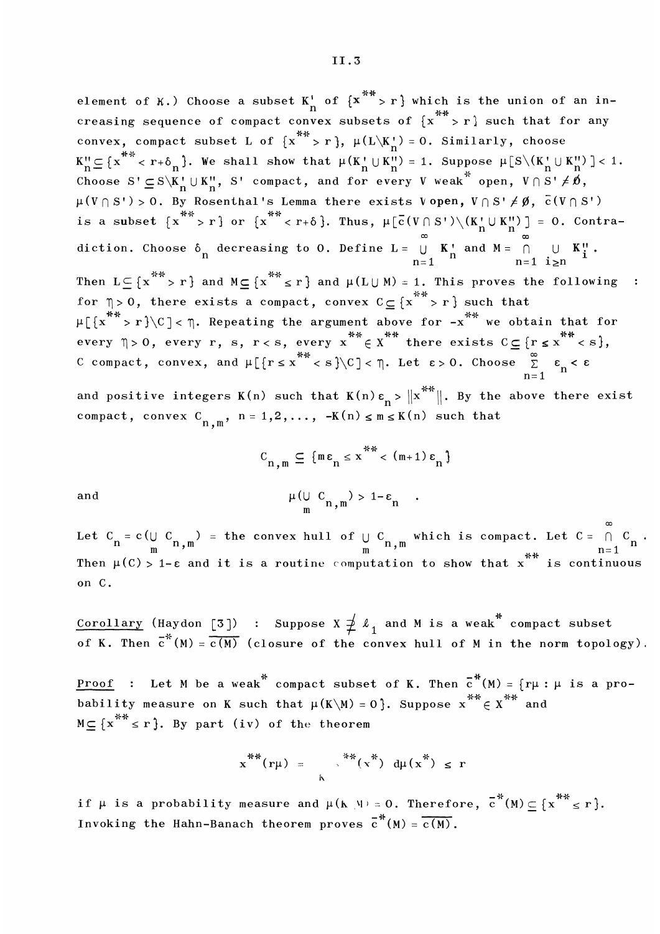element of K.) Choose a subset  $K_n^i$  of  $\{x^{**} > r \}$  which is the union of an increasing sequence of compact convex subsets of  $\{x^* > r\}$  such that for any convex, compact subset L of  $\{x^{**} > r\}$ ,  $\mu(L\backslash K'_n) = 0$ . Similarly, choose , compact subset L of  $\{X \to \Gamma\}$ ,  $\mu(L \setminus K)$ <br>  $**$  c  $\Gamma$  is  $\Lambda$  . We shall show that  $\mu(K^+) \cup K^0$  $\mu_n^0 \subseteq \{x^{n-1} < r + \delta_n\}$ . We shall show that  $\mu(K_n^+) \cup K_n^{(1)} = 1$ . Suppose  $\mu_S^-(K_n^+) \cup K_n^{(1)} = 1$ .<br>hence  $S \subseteq S \setminus K^+ \cup K^+$  is compact, and for every  $V$  weak poop.  $V \cap S^+ \neq \emptyset$ Choose  $S' \subseteq S \setminus K''_{n} \cup K'''_{n}$ , S' compact, and for every V weak open,  $\mu(V \cap S') > 0$ . By Rosenthal's Lemma there exists V open,  $V \cap S' \neq \emptyset$ ,  $\bar{c}(V \cap S')$ <br>is a subset  $\{x^{**} > r\}$  or  $\{x^{**} < r+\delta\}$ . Thus,  $\mu[\bar{c}(V \cap S') \setminus (K'_n \cup K''_n)] = 0$ . Contradiction. Choose  $\delta_n$  decreasing to 0. Define  $L = \bigcup_{n=1}^{\infty} K_n^{\dagger}$  and  $M = \bigcap_{n=1}^{\infty} L_n^{\dagger}$ . Then  $L \subseteq \{x^{**} > r\}$  and  $M \subseteq \{x^{**} \le r\}$  and  $\mu(L \cup M) = 1$ . This proves the following  $\mathbf{L}$ for  $\eta > 0$ , there exists a compact, convex  $C \subseteq \{x^* \geq r\}$  such that  $\mu$ [{x<sup>\*\*</sup>>r}\C]< \mu\. Repeating the argument above for -x<sup>\*\*</sup> we obtain that for every  $\eta > 0$ , every r, s, r < s, every  $x^{**} \in x^{**}$  there exists  $C \subseteq \{r \le x^{**} \le s\}$ , C compact, convex, and  $\mu$ [{ $r \le x$ <sup>\*\*</sup> < s}\C] <  $\eta$ . Let  $\varepsilon > 0$ . Choose  $\sum_{n=1}^{\infty} \varepsilon_n$  <  $\varepsilon$ 

and positive integers K(n) such that K(n)  $\varepsilon_n > \|x^{**}\|$ . By the above there exist compact, convex  $C_{n,m}$ ,  $n = 1,2,..., -K(n) \le m \le K(n)$  such that

$$
C_{n,m} \subseteq \{m\epsilon_n \le x^{**} < (m+1)\epsilon_n\}
$$

$$
\mu(\bigcup_m C_{n,m}) > 1-\epsilon_n.
$$

and

Let  $C_n = c \left(\bigcup_{m} C_{n,m}\right) =$  the convex hull of  $\bigcup_{m} C_{n,m}$  which is compact. Let  $C = \bigcap_{n=1}^{\infty} C_{n,n}$ <br>Then  $\mu(C) > 1-\epsilon$  and it is a routine computation to show that x is continuous on C.

<u>Corollary</u> (Haydon [3]) : Suppose  $X \neq {\ell}_1$  and M is a weak  $\degree$  compact subset of K. Then  $\overline{c}^n(M) = c(M)$  (closure of the convex hull of M in the norm topology)

<u>Proof</u> : Let M be a weak<sup>\*</sup> compact subset of K. Then  $\overline{c}^*(M) = \{r\mu : \mu \text{ is a pro-}$ bability measure on K such that  $\mu(K\backslash M)=0$ }. Suppose  $x^{**} \in X^{**}$  and  $M \subseteq \{x^{**} \leq r\}$ . By part (iv) of the theorem

$$
x^{**}(r\mu) = \int_{0}^{**}(x^{**}) d\mu(x^{**}) \leq r
$$

if  $\mu$  is a probability measure and  $\mu$ (k \u = 0. Therefore,  $\overline{c}^*(M) \subset \{x^{**} \le r\}$ . Invoking the Hahn-Banach theorem proves  $\overline{c}^*(M) = \overline{c(M)}$ .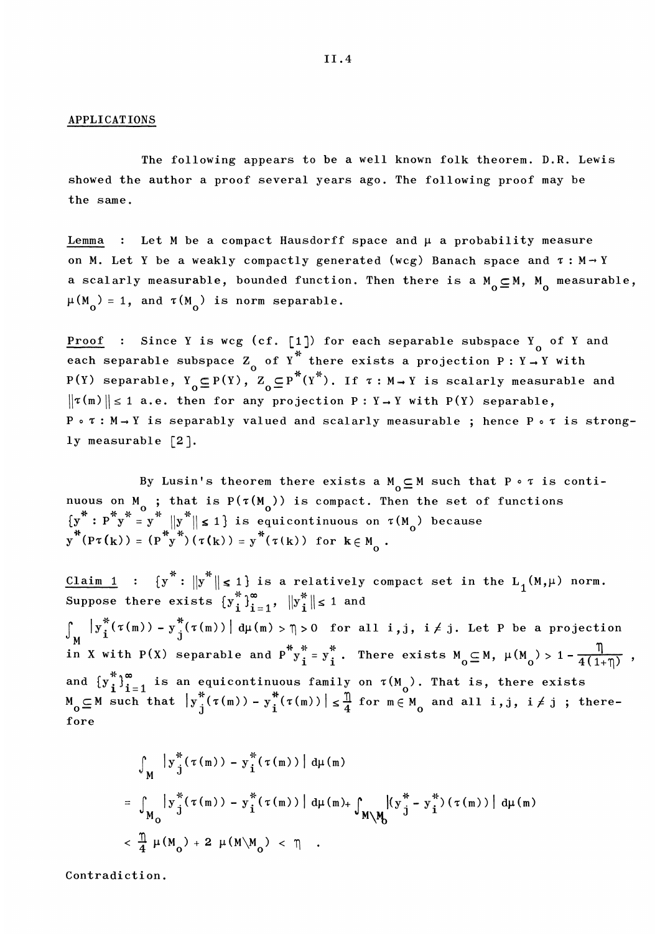#### APPLICATIONS

The following appears to be a well known folk theorem. D.R. Lewis showed the author a proof several years ago. The following proof may be the same.

: Let M be a compact Hausdorff space and  $\mu$  a probability measure on M. Let Y be a weakly compactly generated (wcg) Banach space and  $\tau : M \rightarrow Y$ a scalarly measurable, bounded function. Then there is a  $M_0 \subseteq M$ ,  $M_0$  measurable,  $\mu(M_0) = 1$ , and  $\tau(M_0)$  is norm separable.

<u>Proof</u> : Since Y is wcg (cf. [1]) for each separable subspace Y of Y and each separable subspace Z of Y<sup>\*</sup> there exists a projection P : Y  $\rightarrow$  Y with P(Y) separable,  $Y_{0} \subseteq P(Y)$ ,  $Z_{0} \subseteq P^{\frown}(Y^{\frown})$ . If  $\tau : M \rightarrow Y$  is scalarly measurable and  $||\tau(m)|| \le 1$  a.e. then for any projection P: Y - Y with P(Y) separable,  $P \circ \tau : M \rightarrow Y$  is separably valued and scalarly measurable ; hence P  $\circ \tau$  is strongly measurable [2].

By Lusin's theorem there exists a  $M_0 \subseteq M$  such that  $P \circ \tau$  is continuous on M<sub>0</sub>; that is P( $\tau(M_0)$ ) is compact. Then the set of functions  $\{y^* : P^*y^* = y^* \mid ||y^*|| \le 1\}$  is equicontinuous on  $\tau(M_0)$  because  $y^*(P\tau(k)) = (P^*y^*) (\tau(k)) = y^* (\tau(k))$  for  $k \in M_0$ .

is a relatively compact set in the  $\mathtt{L}_\mathtt{1}(\mathtt{M}, \mu)$  norm. Suppose there exists  $\int_{M} |y_{i}^{*}(\tau(m)) - y_{j}^{*}(\tau(m))| d\mu(m) > \eta > 0$  for all i,j, i  $\neq j$ . Let P be a projection in X with P(X) separable and  $P^*y_i^* = y_i^*$ . There exists  $M_0 \subseteq M$ ,  $\mu(M_0) > 1 - \frac{\eta}{4(1+\eta)}$ , and  $\{y_i^*\}_{i=1}^{\infty}$  is an equicontinuous family on  $\tau(M_0)$ . That is, there exists  $M_0 \subseteq M$  such that  $|y_j^*(\tau(m)) - y_i^*(\tau(m))| \leq \frac{\pi}{4}$  for  $m \in M_0$  and all i,j, i  $\neq j$ ; therefore

$$
\int_{M} |y_{j}^{*}(\tau(m)) - y_{i}^{*}(\tau(m))| d\mu(m)
$$
\n
$$
= \int_{M_{0}} |y_{j}^{*}(\tau(m)) - y_{i}^{*}(\tau(m))| d\mu(m) + \int_{M\backslash M_{0}} |(y_{j}^{*} - y_{i}^{*})(\tau(m))| d\mu(m)
$$
\n
$$
< \frac{\pi}{4} \mu(M_{0}) + 2 \mu(M\backslash M_{0}) < \pi.
$$

Contradiction.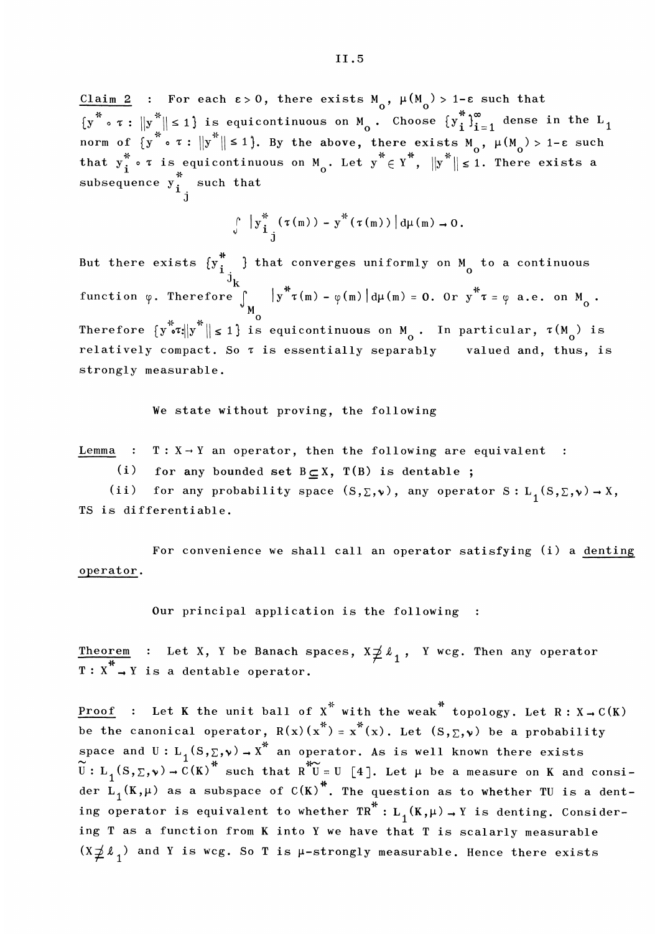<u>Claim 2</u> : For each  $\epsilon > 0$ , there exists M<sub>0</sub>,  $\mu(M_0) > 1-\epsilon$  such that subsequence  $y_{i}^{*}$  such that

$$
\int_{0}^{\pi} |y_{i}^{*}(\tau(m)) - y^{*}(\tau(m))| d\mu(m) \to 0.
$$

But there exists  $\{y_{i,j}^{n}\}$  that converges uniformly on M  $\,$  to a continuous  $\mathbf{K}$ function  $\phi$ . Therefore Therefore  $\{y^* \in x | y^* \mid s \leq 1\}$  is equicontinuous on  $M_0$ . In particular,  $\tau(M_0)$  is relatively compact. So  $\tau$  is essentially separably valued and, thus, is strongly measurable.

We state without proving, the following

Lemma :  $T : X \rightarrow Y$  an operator, then the following are equivalent :

(i) for any bounded set  $B \subset X$ ,  $T(B)$  is dentable;

(ii) for any probability space  $(S, \Sigma, \nu)$ , any operator  $S: L_1(S, \Sigma, \nu) \to X$ , TS is differentiable.

For convenience we shall call an operator satisfying (i) a denting operator.

Our principal application is the following :

Theorem : Let X, Y be Banach spaces,  $X \neq \ell_1$ , Y wcg. Then any operator  $T : X \rightarrow Y$  is a dentable operator.

**Proof** : Let K the unit ball of  $X^*$  with the weak<sup>\*</sup> topology. Let R :  $X \rightarrow C(K)$ be the canonical operator,  $R(x)(x^*) = x^*(x)$ . Let  $(S, \Sigma, \nu)$  be a probability space and U:  $\text{L}_{1}(\text{S},\Sigma,\bm{\nu})\rightarrow\text{X}^{n}$  an operator. As is well known there exists  $U: L_{1}(S, \Sigma, \nu) \rightarrow C(K)^{m}$  such that  $R^{m}U = U$  [4]. Let  $\mu$  be a measure on K and consider  $\mathrm{L}_\mathrm{1}(\mathtt{K}, \mu)$  as a subspace of C(K) . The question as to whether TU is a denting operator is equivalent to whether  $\text{TR}^*$ :  $L_1(K,\mu) \rightarrow Y$  is denting. Considering T as a function from K into Y we have that T is scalarly measurable  $(X \nleq \ell_1)$  and Y is wcg. So T is  $\mu$ -strongly measurable. Hence there exists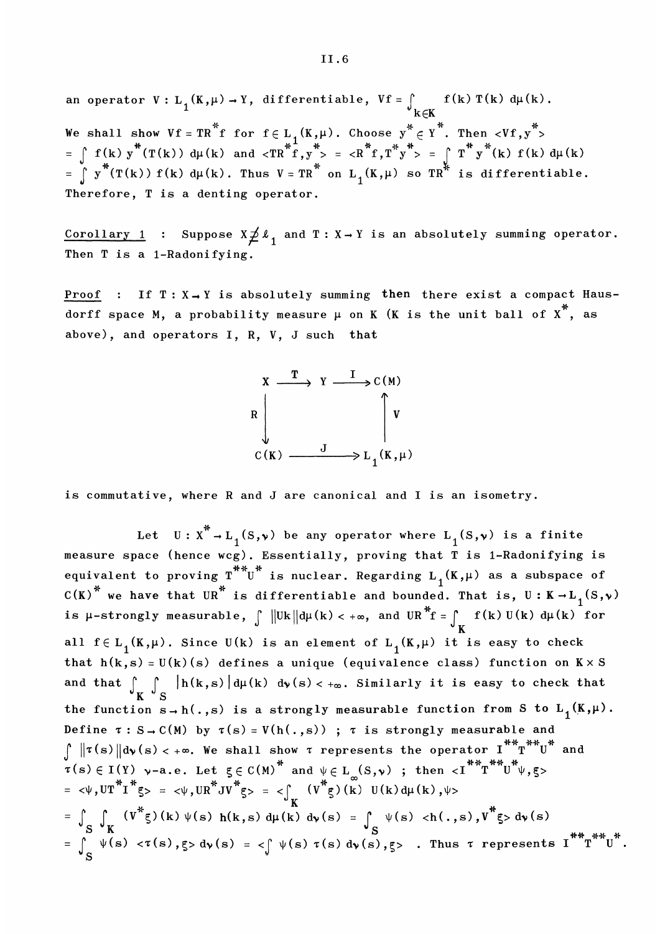an operator  $V: L_1(K, \mu) \to Y$ , differentiable,  $Vf = \int_{\mathcal{M}} f(k) T(k) d\mu(k)$ . We shall show  $Vf = TR^*f$  for  $f \in L_1(K,\mu)$ . Choose  $y^* \in Y^*$ . Then  $\langle Vf, y^* \rangle$ <br>  $= \int f(k) y^*(T(k)) d\mu(k)$  and  $\langle TR^*f, y^* \rangle = \langle R^*f, T^*y^* \rangle = \int f^*f(k) f(k) d\mu(k)$ <br>  $= \int y^*(T(k)) f(k) d\mu(k)$ . Thus  $V = TR^*$  on  $L_1(K,\mu)$  so  $TR^*$  is different Therefore, T is a denting operator.

Corollary 1 : Suppose  $X \nleq \ell_1$  and  $T : X \rightarrow Y$  is an absolutely summing operator. Then T is a 1-Radonifying.

**Proof** : If  $T : X \rightarrow Y$  is absolutely summing then there exist a compact Hausdorff space M, a probability measure  $\mu$  on K (K is the unit ball of  $x^*$ , as above), and operators I, R, V, J such that



is commutative, where R and J are canonical and I is an isometry.

Let  $U: X^* \to L_1(S, \nu)$  be any operator where  $L_1(S, \nu)$  is a finite measure space (hence wcg). Essentially, proving that T is 1-Radonifying is equivalent to proving  $T^{**}U^*$  is nuclear. Regarding  $L_1(K,\mu)$  as a subspace of  $C(K)^*$  we have that UR<sup>\*</sup> is differentiable and bounded. That is, U: K  $\rightarrow$  L<sub>1</sub>(S, v) is  $\mu\text{-strongly measurable}, \ \int \ \big\| \mathtt{Uk} \big\| \mathrm{d}\mu(k) < +\infty, \ \text{and} \ \ \mathtt{UR\text{\textdegree}f} = \int_K \ \mathtt{f(k)\,U(k)\,\,d}\mu(k) \ \ \text{for}$ all  $f \in L_1(K,\mu)$ . Since  $U(k)$  is an element of  $L_1(K,\mu)$  it is easy to check that  $h(k, s) = U(k)(s)$  defines a unique (equivalence class) function on  $K \times S$ and that  $\int_{\mathbf{K}} \int_{\mathbf{S}} |\mathbf{h}(\mathbf{k},\mathbf{s})| d\mu(\mathbf{k}) d\mathbf{v}(\mathbf{s}) < +\infty$ . Similarly it is easy to check that K ° S the function  $S \to h(., s)$  is a strongly measurable function from S to  $L_1(K, \mu)$ . Define  $\tau : S \rightarrow C(M)$  by  $\tau(s) = V(h(., s))$ ;  $\tau$  is strongly measurable and  $\int ||\tau(s)||d\nu(s) < +\infty$ . We shall show  $\tau$  represents the operator  $I^{**}T^{**}U^*$  and  $\tau(s) \in I(Y)$   $\nu$ -a.e. Let  $\xi \in C(M)^*$  and  $\psi \in L_{\infty}(S,\nu)$ ; then  $\langle I^{**}T^{**}U^*\psi,\xi\rangle$ <br>=  $\langle \psi, UT^{**}I^*\xi\rangle = \langle \psi, UR^{**}JV^*\xi\rangle = \langle \int_K (V^*g)(k) U(k) d\mu$  $=\int_S \int_K (v^* \xi)(k) \psi(s) h(k,s) d\mu(k) d\nu(s) = \int_S \psi(s) \langle h(.,s), v^* \xi \rangle d\nu(s) = \int_S \psi(s) \langle \tau(s), \xi \rangle d\nu(s) = \int_S^{\pi} \psi(s) \langle \tau(s), \xi \rangle d\nu(s) = \int_S^{\pi} \psi(s) \langle \tau(s), \xi \rangle d\nu(s) = \int_S^{\pi} \psi(s) \langle \tau(s), \xi \rangle d\nu(s) = \int_S^{\pi} \psi(s) \langle \tau(s), \xi \rangle d\nu(s) = \int_S^{\pi} \psi(s) \langle \tau(s), \xi \rangle d\nu(s) = \$